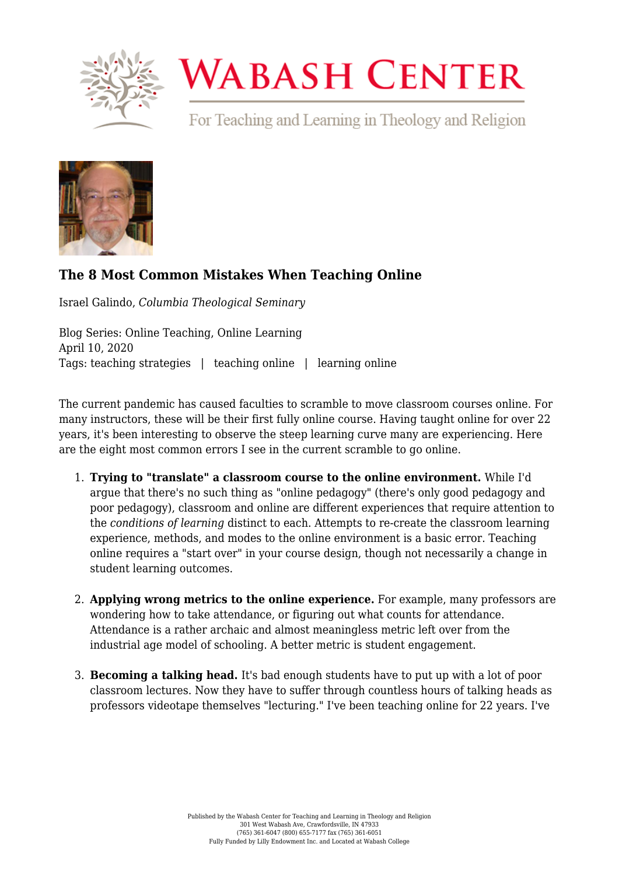

## **WABASH CENTER**

For Teaching and Learning in Theology and Religion



## **[The 8 Most Common Mistakes When Teaching Online](https://wabashcenter.wabash.edu/2020/04/the-8-most-common-mistakes-when-teaching-online/)**

Israel Galindo, *Columbia Theological Seminary*

Blog Series: Online Teaching, Online Learning April 10, 2020 Tags: teaching strategies | teaching online | learning online

The current pandemic has caused faculties to scramble to move classroom courses online. For many instructors, these will be their first fully online course. Having taught online for over 22 years, it's been interesting to observe the steep learning curve many are experiencing. Here are the eight most common errors I see in the current scramble to go online.

- 1. **Trying to "translate" a classroom course to the online environment.** While I'd argue that there's no such thing as "online pedagogy" (there's only good pedagogy and poor pedagogy), classroom and online are different experiences that require attention to the *conditions of learning* distinct to each. Attempts to re-create the classroom learning experience, methods, and modes to the online environment is a basic error. Teaching online requires a "start over" in your course design, though not necessarily a change in student learning outcomes.
- 2. **Applying wrong metrics to the online experience.** For example, many professors are wondering how to take attendance, or figuring out what counts for attendance. Attendance is a rather archaic and almost meaningless metric left over from the industrial age model of schooling. A better metric is student engagement.
- 3. **Becoming a talking head.** It's bad enough students have to put up with a lot of poor classroom lectures. Now they have to suffer through countless hours of talking heads as professors videotape themselves "lecturing." I've been teaching online for 22 years. I've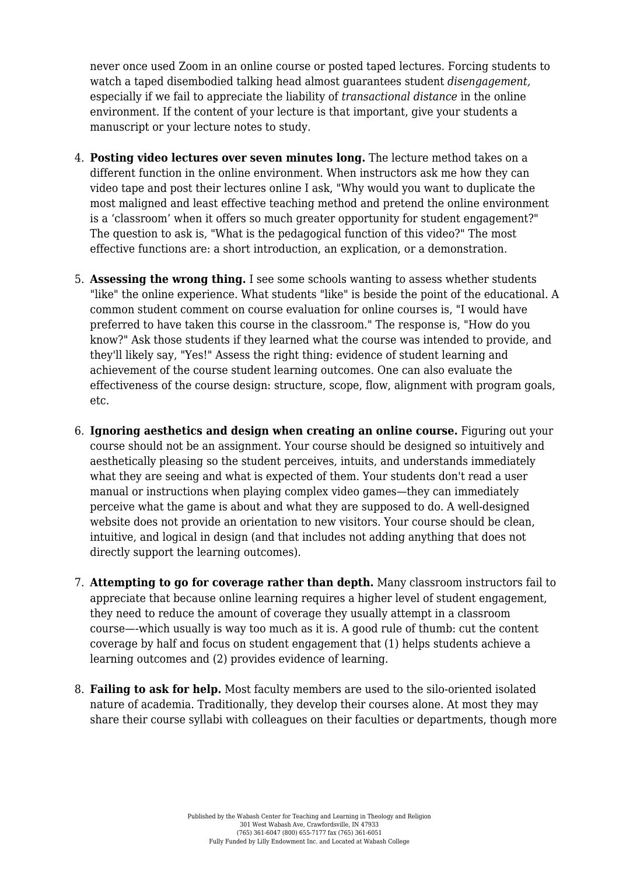never once used Zoom in an online course or posted taped lectures. Forcing students to watch a taped disembodied talking head almost guarantees student *disengagement,* especially if we fail to appreciate the liability of *transactional distance* in the online environment. If the content of your lecture is that important, give your students a manuscript or your lecture notes to study.

- 4. **Posting video lectures over seven minutes long.** The lecture method takes on a different function in the online environment. When instructors ask me how they can video tape and post their lectures online I ask, "Why would you want to duplicate the most maligned and least effective teaching method and pretend the online environment is a 'classroom' when it offers so much greater opportunity for student engagement?" The question to ask is, "What is the pedagogical function of this video?" The most effective functions are: a short introduction, an explication, or a demonstration.
- 5. **Assessing the wrong thing.** I see some schools wanting to assess whether students "like" the online experience. What students "like" is beside the point of the educational. A common student comment on course evaluation for online courses is, "I would have preferred to have taken this course in the classroom." The response is, "How do you know?" Ask those students if they learned what the course was intended to provide, and they'll likely say, "Yes!" Assess the right thing: evidence of student learning and achievement of the course student learning outcomes. One can also evaluate the effectiveness of the course design: structure, scope, flow, alignment with program goals, etc.
- 6. **Ignoring aesthetics and design when creating an online course.** Figuring out your course should not be an assignment. Your course should be designed so intuitively and aesthetically pleasing so the student perceives, intuits, and understands immediately what they are seeing and what is expected of them. Your students don't read a user manual or instructions when playing complex video games—they can immediately perceive what the game is about and what they are supposed to do. A well-designed website does not provide an orientation to new visitors. Your course should be clean, intuitive, and logical in design (and that includes not adding anything that does not directly support the learning outcomes).
- 7. **Attempting to go for coverage rather than depth.** Many classroom instructors fail to appreciate that because online learning requires a higher level of student engagement, they need to reduce the amount of coverage they usually attempt in a classroom course—-which usually is way too much as it is. A good rule of thumb: cut the content coverage by half and focus on student engagement that (1) helps students achieve a learning outcomes and (2) provides evidence of learning.
- 8. **Failing to ask for help.** Most faculty members are used to the silo-oriented isolated nature of academia. Traditionally, they develop their courses alone. At most they may share their course syllabi with colleagues on their faculties or departments, though more